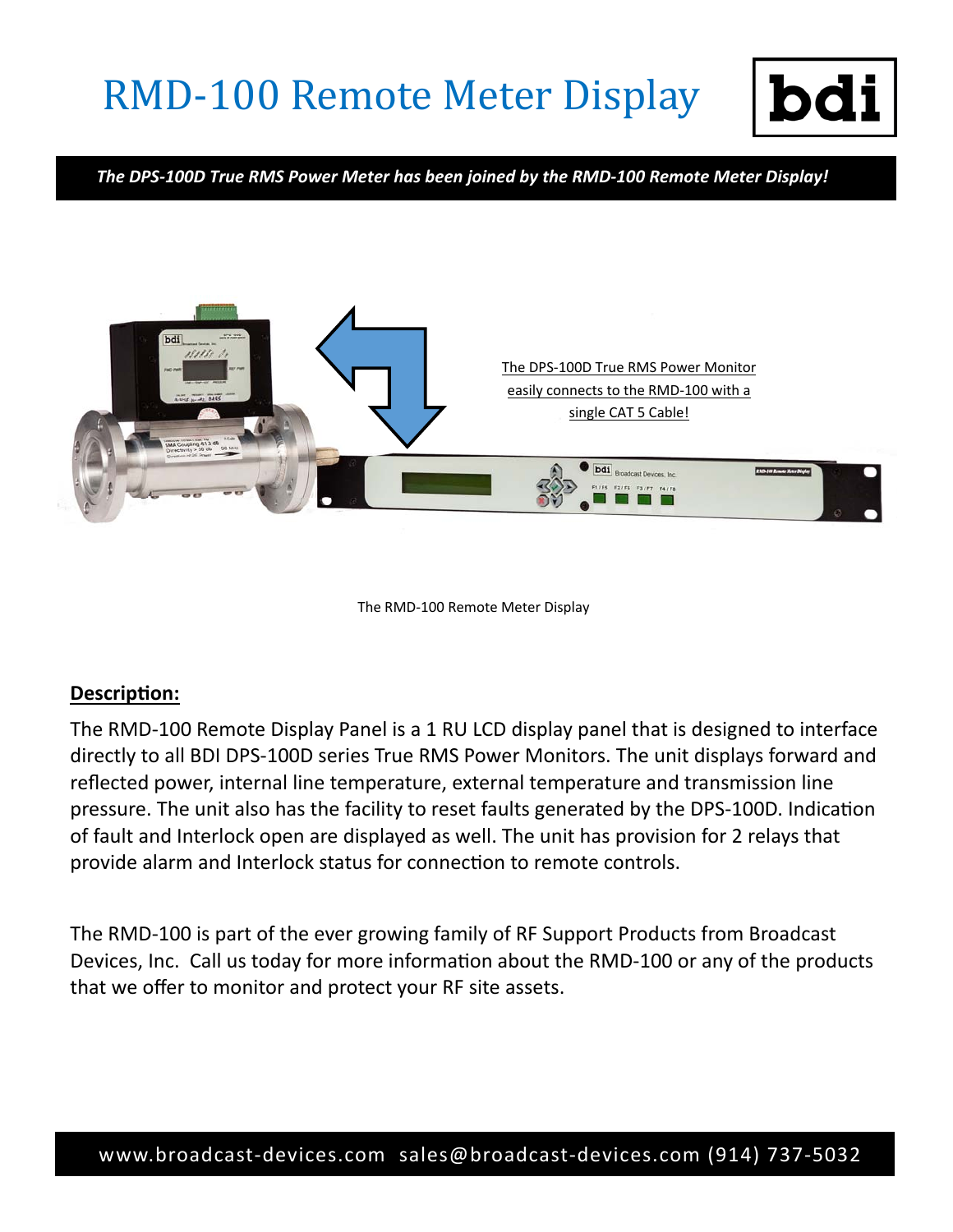## **RMD-100 Remote Meter Display**



*The DPS‐100D True RMS Power Meter has been joined by the RMD‐100 Remote Meter Display!* 



The RMD‐100 Remote Meter Display

## **DescripƟon:**

The RMD‐100 Remote Display Panel is a 1 RU LCD display panel that is designed to interface directly to all BDI DPS‐100D series True RMS Power Monitors. The unit displays forward and reflected power, internal line temperature, external temperature and transmission line pressure. The unit also has the facility to reset faults generated by the DPS-100D. Indication of fault and Interlock open are displayed as well. The unit has provision for 2 relays that provide alarm and Interlock status for connection to remote controls.

The RMD‐100 is part of the ever growing family of RF Support Products from Broadcast Devices, Inc. Call us today for more information about the RMD-100 or any of the products that we offer to monitor and protect your RF site assets.